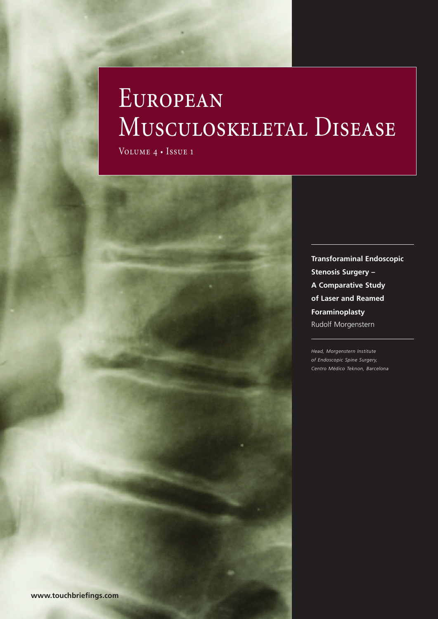# **EUROPEAN** MUSCULOSKELETAL DISEASE

Volume 4 • Issue 1



*Head, Morgenstern Institute of Endoscopic Spine Surgery, Centro Médico Teknon, Barcelona*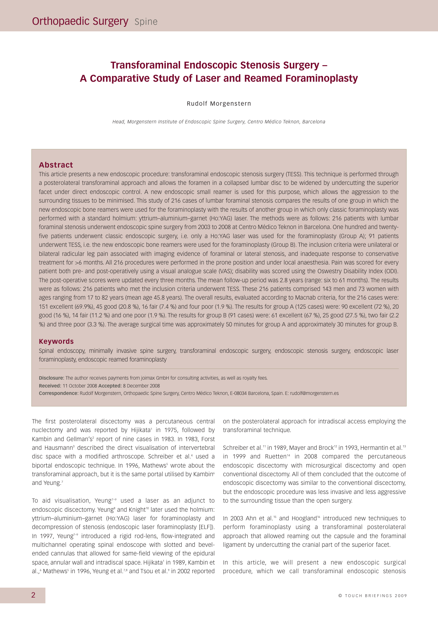## **Transforaminal Endoscopic Stenosis Surgery – A Comparative Study of Laser and Reamed Foraminoplasty**

#### Rudolf Morgenstern

*Head, Morgenstern Institute of Endoscopic Spine Surgery, Centro Médico Teknon, Barcelona*

#### **Abstract**

This article presents a new endoscopic procedure: transforaminal endoscopic stenosis surgery (TESS). This technique is performed through a posterolateral transforaminal approach and allows the foramen in a collapsed lumbar disc to be widened by undercutting the superior facet under direct endoscopic control. A new endoscopic small reamer is used for this purpose, which allows the aggression to the surrounding tissues to be minimised. This study of 216 cases of lumbar foraminal stenosis compares the results of one group in which the new endoscopic bone reamers were used for the foraminoplasty with the results of another group in which only classic foraminoplasty was performed with a standard holmium: yttrium–aluminium–garnet (Ho:YAG) laser. The methods were as follows: 216 patients with lumbar foraminal stenosis underwent endoscopic spine surgery from 2003 to 2008 at Centro Médico Teknon in Barcelona. One hundred and twentyfive patients underwent classic endoscopic surgery, i.e. only a Ho:YAG laser was used for the foraminoplasty (Group A); 91 patients underwent TESS, i.e. the new endoscopic bone reamers were used for the foraminoplasty (Group B). The inclusion criteria were unilateral or bilateral radicular leg pain associated with imaging evidence of foraminal or lateral stenosis, and inadequate response to conservative treatment for >6 months. All 216 procedures were performed in the prone position and under local anaesthesia. Pain was scored for every patient both pre- and post-operatively using a visual analogue scale (VAS); disability was scored using the Oswestry Disability Index (ODI). The post-operative scores were updated every three months. The mean follow-up period was 2.8 years (range: six to 61 months). The results were as follows: 216 patients who met the inclusion criteria underwent TESS. These 216 patients comprised 143 men and 73 women with ages ranging from 17 to 82 years (mean age 45.8 years). The overall results, evaluated according to Macnab criteria, for the 216 cases were: 151 excellent (69.9%), 45 good (20.8 %), 16 fair (7.4 %) and four poor (1.9 %). The results for group A (125 cases) were: 90 excellent (72 %), 20 good (16 %), 14 fair (11.2 %) and one poor (1.9 %). The results for group B (91 cases) were: 61 excellent (67 %), 25 good (27.5 %), two fair (2.2 %) and three poor (3.3 %). The average surgical time was approximately 50 minutes for group A and approximately 30 minutes for group B.

#### **Keywords**

Spinal endoscopy, minimally invasive spine surgery, transforaminal endoscopic surgery, endoscopic stenosis surgery, endoscopic laser foraminoplasty, endoscopic reamed foraminoplasty

**Disclosure:** The author receives payments from joimax GmbH for consulting activities, as well as royalty fees. **Received:** 11 October 2008 **Accepted:** 8 December 2008 **Correspondence:** Rudolf Morgenstern, Orthopaedic Spine Surgery, Centro Médico Teknon, E-08034 Barcelona, Spain. E: rudolf@morgenstern.es

The first posterolateral discectomy was a percutaneous central nuclectomy and was reported by Hijikata<sup>1</sup> in 1975, followed by Kambin and Gellman's<sup>2</sup> report of nine cases in 1983. In 1983, Forst and Hausmann<sup>3</sup> described the direct visualisation of intervertebral disc space with a modified arthroscope. Schreiber et al.<sup>4</sup> used a biportal endoscopic technique. In 1996, Mathews<sup>5</sup> wrote about the transforaminal approach, but it is the same portal utilised by Kambin<sup>6</sup> and Yeung.<sup>7</sup>

To aid visualisation, Yeung $7-9$  used a laser as an adjunct to endoscopic discectomy. Yeung<sup>8</sup> and Knight<sup>10</sup> later used the holmium: yttrium–aluminium–garnet (Ho:YAG) laser for foraminoplasty and decompression of stenosis (endoscopic laser foraminoplasty [ELF]). In 1997, Yeung<sup>7-9</sup> introduced a rigid rod-lens, flow-integrated and multichannel operating spinal endoscope with slotted and bevelended cannulas that allowed for same-field viewing of the epidural space, annular wall and intradiscal space. Hijikata<sup>1</sup> in 1989, Kambin et al.,<sup>6</sup> Mathews<sup>5</sup> in 1996, Yeung et al.<sup>7,8</sup> and Tsou et al.<sup>9</sup> in 2002 reported on the posterolateral approach for intradiscal access employing the transforaminal technique.

Schreiber et al.<sup>11</sup> in 1989, Mayer and Brock<sup>12</sup> in 1993, Hermantin et al.<sup>13</sup> in 1999 and Ruetten<sup> $14$ </sup> in 2008 compared the percutaneous endoscopic discectomy with microsurgical discectomy and open conventional discectomy. All of them concluded that the outcome of endoscopic discectomy was similar to the conventional discectomy, but the endoscopic procedure was less invasive and less aggressive to the surrounding tissue than the open surgery.

In 2003 Ahn et al.<sup>15</sup> and Hoogland<sup>16</sup> introduced new techniques to perform foraminoplasty using a transforaminal posterolateral approach that allowed reaming out the capsule and the foraminal ligament by undercutting the cranial part of the superior facet.

In this article, we will present a new endoscopic surgical procedure, which we call transforaminal endoscopic stenosis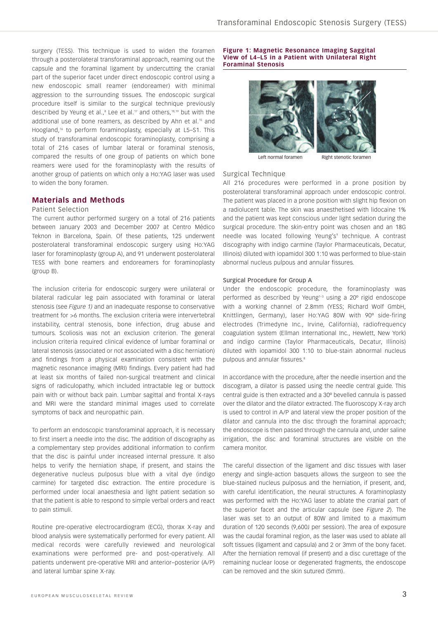surgery (TESS). This technique is used to widen the foramen through a posterolateral transforaminal approach, reaming out the capsule and the foraminal ligament by undercutting the cranial part of the superior facet under direct endoscopic control using a new endoscopic small reamer (endoreamer) with minimal aggression to the surrounding tissues. The endoscopic surgical procedure itself is similar to the surgical technique previously described by Yeung et al., $^8$  Lee et al.<sup>17</sup> and others,<sup>18,19</sup> but with the additional use of bone reamers, as described by Ahn et al.<sup>15</sup> and Hoogland,16 to perform foraminoplasty, especially at L5–S1. This study of transforaminal endoscopic foraminoplasty, comprising a total of 216 cases of lumbar lateral or foraminal stenosis, compared the results of one group of patients on which bone reamers were used for the foraminoplasty with the results of another group of patients on which only a Ho:YAG laser was used to widen the bony foramen.

#### **Materials and Methods**

### Patient Selection

The current author performed surgery on a total of 216 patients between January 2003 and December 2007 at Centro Médico Teknon in Barcelona, Spain. Of these patients, 125 underwent posterolateral transforaminal endoscopic surgery using Ho:YAG laser for foraminoplasty (group A), and 91 underwent posterolateral TESS with bone reamers and endoreamers for foraminoplasty (group B).

The inclusion criteria for endoscopic surgery were unilateral or bilateral radicular leg pain associated with foraminal or lateral stenosis (see *Figure 1)* and an inadequate response to conservative treatment for >6 months. The exclusion criteria were intervertebral instability, central stenosis, bone infection, drug abuse and tumours. Scoliosis was not an exclusion criterion. The general inclusion criteria required clinical evidence of lumbar foraminal or lateral stenosis (associated or not associated with a disc herniation) and findings from a physical examination consistent with the magnetic resonance imaging (MRI) findings. Every patient had had at least six months of failed non-surgical treatment and clinical signs of radiculopathy, which included intractable leg or buttock pain with or without back pain. Lumbar sagittal and frontal X-rays and MRI were the standard minimal images used to correlate symptoms of back and neuropathic pain.

To perform an endoscopic transforaminal approach, it is necessary to first insert a needle into the disc. The addition of discography as a complementary step provides additional information to confirm that the disc is painful under increased internal pressure. It also helps to verify the herniation shape, if present, and stains the degenerative nucleus pulposus blue with a vital dye (indigo carmine) for targeted disc extraction. The entire procedure is performed under local anaesthesia and light patient sedation so that the patient is able to respond to simple verbal orders and react to pain stimuli.

Routine pre-operative electrocardiogram (ECG), thorax X-ray and blood analysis were systematically performed for every patient. All medical records were carefully reviewed and neurological examinations were performed pre- and post-operatively. All patients underwent pre-operative MRI and anterior–posterior (A/P) and lateral lumbar spine X-ray.

#### **Figure 1: Magnetic Resonance Imaging Saggital View of L4–L5 in a Patient with Unilateral Right Foraminal Stenosis**



Left normal foramen Right stenotic foramen

## Surgical Technique

All 216 procedures were performed in a prone position by posterolateral transforaminal approach under endoscopic control. The patient was placed in a prone position with slight hip flexion on a radiolucent table. The skin was anaesthetised with lidocaine 1% and the patient was kept conscious under light sedation during the surgical procedure. The skin-entry point was chosen and an 18G needle was located following Yeung's<sup>9</sup> technique. A contrast discography with indigo carmine (Taylor Pharmaceuticals, Decatur, Illinois) diluted with iopamidol 300 1:10 was performed to blue-stain abnormal nucleus pulpous and annular fissures.

#### Surgical Procedure for Group A

Under the endoscopic procedure, the foraminoplasty was performed as described by Yeung<sup>1-3</sup> using a 20° rigid endoscope with a working channel of 2.8mm (YESS; Richard Wolf GmbH, Knittlingen, Germany), laser Ho:YAG 80W with 90º side-firing electrodes (Trimedyne Inc., Irvine, California), radiofrequency coagulation system (Ellman International Inc., Hewlett, New York) and indigo carmine (Taylor Pharmaceuticals, Decatur, Illinois) diluted with iopamidol 300 1:10 to blue-stain abnormal nucleus pulpous and annular fissures<sup>8</sup>

In accordance with the procedure, after the needle insertion and the discogram, a dilator is passed using the needle central guide. This central guide is then extracted and a 30º bevelled cannula is passed over the dilator and the dilator extracted. The fluoroscopy X-ray arch is used to control in A/P and lateral view the proper position of the dilator and cannula into the disc through the foraminal approach; the endoscope is then passed through the cannula and, under saline irrigation, the disc and foraminal structures are visible on the camera monitor.

The careful dissection of the ligament and disc tissues with laser energy and single-action basquets allows the surgeon to see the blue-stained nucleus pulposus and the herniation, if present, and, with careful identification, the neural structures. A foraminoplasty was performed with the Ho:YAG laser to ablate the cranial part of the superior facet and the articular capsule (see *Figure 2*). The laser was set to an output of 80W and limited to a maximum duration of 120 seconds (9,600J per session). The area of exposure was the caudal foraminal region, as the laser was used to ablate all soft tissues (ligament and capsula) and 2 or 3mm of the bony facet. After the herniation removal (if present) and a disc curettage of the remaining nuclear loose or degenerated fragments, the endoscope can be removed and the skin sutured (5mm).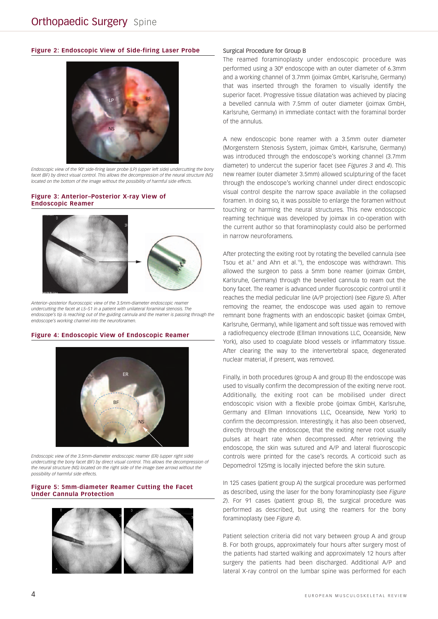#### **Figure 2: Endoscopic View of Side-firing Laser Probe**



*Endoscopic view of the 90º side-firing laser probe (LP) (upper left side) undercutting the bony facet (BF) by direct visual control. This allows the decompression of the neural structure (NS) located on the bottom of the image without the possibility of harmful side effects.*

#### **Figure 3: Anterior–Posterior X-ray View of Endoscopic Reamer**



*Anterior–posterior fluoroscopic view of the 3.5mm-diameter endoscopic reamer undercutting the facet at L5–S1 in a patient with unilateral foraminal stenosis. The endoscope's tip is reaching out of the guiding cannula and the reamer is passing through the endoscope's working channel into the neuroforamen.*

#### **Figure 4: Endoscopic View of Endoscopic Reamer**



*Endoscopic view of the 3.5mm-diameter endoscopic reamer (ER) (upper right side) undercutting the bony facet (BF) by direct visual control. This allows the decompression of the neural structure (NS) located on the right side of the image (see arrow) without the possibility of harmful side effects.*

#### **Figure 5: 5mm-diameter Reamer Cutting the Facet Under Cannula Protection**



#### Surgical Procedure for Group B

The reamed foraminoplasty under endoscopic procedure was performed using a 30º endoscope with an outer diameter of 6.3mm and a working channel of 3.7mm (joimax GmbH, Karlsruhe, Germany) that was inserted through the foramen to visually identify the superior facet. Progressive tissue dilatation was achieved by placing a bevelled cannula with 7.5mm of outer diameter (joimax GmbH, Karlsruhe, Germany) in immediate contact with the foraminal border of the annulus.

A new endoscopic bone reamer with a 3.5mm outer diameter (Morgenstern Stenosis System, joimax GmbH, Karlsruhe, Germany) was introduced through the endoscope's working channel (3.7mm diameter) to undercut the superior facet (see *Figures 3* and *4*). This new reamer (outer diameter 3.5mm) allowed sculpturing of the facet through the endoscope's working channel under direct endoscopic visual control despite the narrow space available in the collapsed foramen. In doing so, it was possible to enlarge the foramen without touching or harming the neural structures. This new endoscopic reaming technique was developed by joimax in co-operation with the current author so that foraminoplasty could also be performed in narrow neuroforamens.

After protecting the exiting root by rotating the bevelled cannula (see Tsou et al.<sup>9</sup> and Ahn et al.<sup>15</sup>), the endoscope was withdrawn. This allowed the surgeon to pass a 5mm bone reamer (joimax GmbH, Karlsruhe, Germany) through the bevelled cannula to ream out the bony facet. The reamer is advanced under fluoroscopic control until it reaches the medial pedicular line (A/P projection) (see *Figure 5*). After removing the reamer, the endoscope was used again to remove remnant bone fragments with an endoscopic basket (joimax GmbH, Karlsruhe, Germany), while ligament and soft tissue was removed with a radiofrequency electrode (Ellman Innovations LLC, Oceanside, New York), also used to coagulate blood vessels or inflammatory tissue. After clearing the way to the intervertebral space, degenerated nuclear material, if present, was removed.

Finally, in both procedures (group A and group B) the endoscope was used to visually confirm the decompression of the exiting nerve root. Additionally, the exiting root can be mobilised under direct endoscopic vision with a flexible probe (joimax GmbH, Karlsruhe, Germany and Ellman Innovations LLC, Oceanside, New York) to confirm the decompression. Interestingly, it has also been observed, directly through the endoscope, that the exiting nerve root usually pulses at heart rate when decompressed. After retrieving the endoscope, the skin was sutured and A/P and lateral fluoroscopic controls were printed for the case's records. A corticoid such as Depomedrol 125mg is locally injected before the skin suture.

In 125 cases (patient group A) the surgical procedure was performed as described, using the laser for the bony foraminoplasty (see *Figure 2*). For 91 cases (patient group B), the surgical procedure was performed as described, but using the reamers for the bony foraminoplasty (see *Figure 4*).

Patient selection criteria did not vary between group A and group B. For both groups, approximately four hours after surgery most of the patients had started walking and approximately 12 hours after surgery the patients had been discharged. Additional A/P and lateral X-ray control on the lumbar spine was performed for each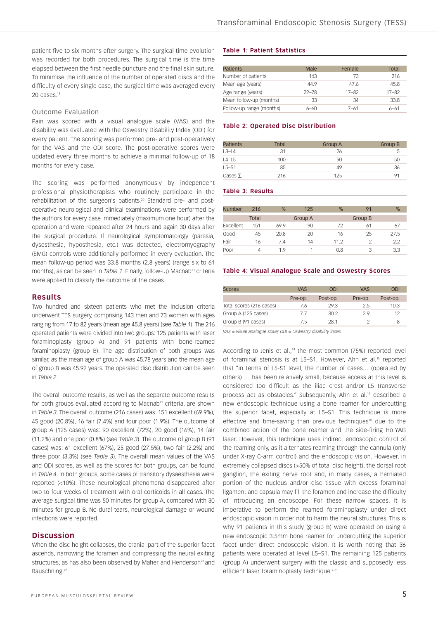patient five to six months after surgery. The surgical time evolution was recorded for both procedures. The surgical time is the time elapsed between the first needle puncture and the final skin suture. To minimise the influence of the number of operated discs and the difficulty of every single case, the surgical time was averaged every 20 cases.<sup>18</sup>

#### Outcome Evaluation

Pain was scored with a visual analogue scale (VAS) and the disability was evaluated with the Oswestry Disability Index (ODI) for every patient. The scoring was performed pre- and post-operatively for the VAS and the ODI score. The post-operative scores were updated every three months to achieve a minimal follow-up of 18 months for every case.

The scoring was performed anonymously by independent professional physiotherapists who routinely participate in the rehabilitation of the surgeon's patients.<sup>20</sup> Standard pre- and postoperative neurological and clinical examinations were performed by the authors for every case immediately (maximum one hour) after the operation and were repeated after 24 hours and again 30 days after the surgical procedure. If neurological symptomatology (paresia, dysesthesia, hyposthesia, etc.) was detected, electromyography (EMG) controls were additionally performed in every evaluation. The mean follow-up period was 33.8 months (2.8 years) (range six to 61 months), as can be seen in *Table 1*. Finally, follow-up Macnab<sup>21</sup> criteria were applied to classify the outcome of the cases.

#### **Results**

Two hundred and sixteen patients who met the inclusion criteria underwent TES surgery, comprising 143 men and 73 women with ages ranging from 17 to 82 years (mean age 45.8 years) (see *Table 1*). The 216 operated patients were divided into two groups: 125 patients with laser foraminoplasty (group A) and 91 patients with bone-reamed foraminoplasty (group B). The age distribution of both groups was similar, as the mean age of group A was 45.78 years and the mean age of group B was 45.92 years. The operated disc distribution can be seen in *Table 2*.

The overall outcome results, as well as the separate outcome results for both groups evaluated according to Macnab<sup>21</sup> criteria, are shown in *Table 3*. The overall outcome (216 cases) was: 151 excellent (69.9%), 45 good (20.8%), 16 fair (7.4%) and four poor (1.9%). The outcome of group A (125 cases) was: 90 excellent (72%), 20 good (16%), 14 fair (11.2%) and one poor (0.8%) (see *Table 3*). The outcome of group B (91 cases) was: 61 excellent (67%), 25 good (27.5%), two fair (2.2%) and three poor (3.3%) (see *Table 3*). The overall mean values of the VAS and ODI scores, as well as the scores for both groups, can be found in *Table 4*. In both groups, some cases of transitory dysaesthesia were reported (<10%). These neurological phenomena disappeared after two to four weeks of treatment with oral corticoids in all cases. The average surgical time was 50 minutes for group A, compared with 30 minutes for group B. No dural tears, neurological damage or wound infections were reported.

### **Discussion**

When the disc height collapses, the cranial part of the superior facet ascends, narrowing the foramen and compressing the neural exiting structures, as has also been observed by Maher and Henderson<sup>22</sup> and Rauschning.23

#### **Table 1: Patient Statistics**

| Male      | Female    | Total     |
|-----------|-----------|-----------|
| 143       | 73        | 216       |
| 449       | 476       | 45.8      |
| $22 - 78$ | $17 - 82$ | $17 - 82$ |
| 33        | 34        | 33.8      |
| ለ–ለበ      | $7 - 61$  | $6 - 61$  |
|           |           |           |

#### **Table 2: Operated Disc Distribution**

| <b>Patients</b> | Total | Group A | <b>Group B</b> |
|-----------------|-------|---------|----------------|
| $L3-L4$         | 31    | 26      |                |
| $L4-L5$         | 100   | 50      | 50             |
| $L5 - S1$       | 85    | 49      | -36            |
| Cases $\Sigma$  | 216   | 125     |                |

#### **Table 3: Results**

| <b>Number</b> | 216          | %    | 125     | %    |         | %    |
|---------------|--------------|------|---------|------|---------|------|
|               | <b>Total</b> |      | Group A |      | Group B |      |
| Excellent     | 151          | 69.9 | 90      | 72   | 61      | 67   |
| Good          | 45           | 20.8 | 20      | 16   | 25      | 27.5 |
| Fair          | 16           | 7.4  | 14      | 11.2 |         | 2.2  |
| Poor          | 4            | 19   |         | 0.8  | 3       | 3.3  |

#### **Table 4: Visual Analogue Scale and Oswestry Scores**

| <b>Scores</b>            | <b>VAS</b> | <b>ODI</b> | <b>VAS</b> | <b>ODI</b> |
|--------------------------|------------|------------|------------|------------|
|                          | Pre-op.    | Post-op.   | Pre-op.    | Post-op.   |
| Total scores (216 cases) | 7.6        | 29.3       | 25         | 10.3       |
| Group A (125 cases)      | 77         | 302        | 29         | 12         |
| Group B (91 cases)       | 75         | 28.1       |            |            |

*VAS = visual analogue scale; ODI = Oswestry disability index.*

According to Jenis et al. $24$  the most common (75%) reported level of foraminal stenosis is at L5–S1. However, Ahn et al.15 reported that "in terms of L5-S1 level, the number of cases… (operated by others) … has been relatively small, because access at this level is considered too difficult as the iliac crest and/or L5 transverse process act as obstacles." Subsequently, Ahn et al.15 described a new endoscopic technique using a bone reamer for undercutting the superior facet, especially at L5–S1. This technique is more effective and time-saving than previous techniques<sup>10</sup> due to the combined action of the bone reamer and the side-firing Ho:YAG laser. However, this technique uses indirect endoscopic control of the reaming only, as it alternates reaming through the cannula (only under X-ray C-arm control) and the endoscopic vision. However, in extremely collapsed discs (>50% of total disc height), the dorsal root ganglion, the exiting nerve root and, in many cases, a herniated portion of the nucleus and/or disc tissue with excess foraminal ligament and capsula may fill the foramen and increase the difficulty of introducing an endoscope. For these narrow spaces, it is imperative to perform the reamed foraminoplasty under direct endoscopic vision in order not to harm the neural structures. This is why 91 patients in this study (group B) were operated on using a new endoscopic 3.5mm bone reamer for undercutting the superior facet under direct endoscopic vision. It is worth noting that 36 patients were operated at level L5–S1. The remaining 125 patients (group A) underwent surgery with the classic and supposedly less efficient laser foraminoplasty technique.<sup>7-9</sup>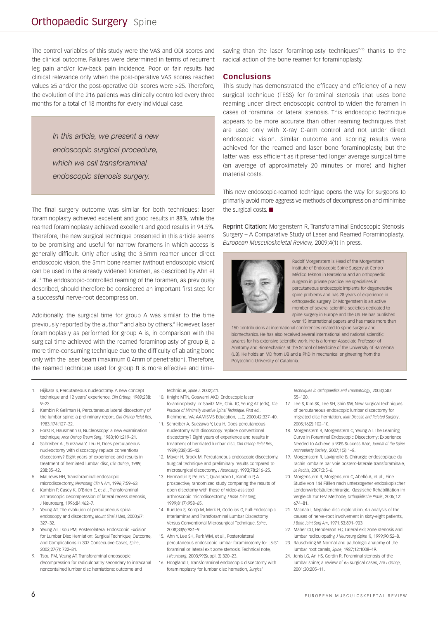## **Orthopaedic Surgery** Spine

The control variables of this study were the VAS and ODI scores and the clinical outcome. Failures were determined in terms of recurrent leg pain and/or low-back pain incidence. Poor or fair results had clinical relevance only when the post-operative VAS scores reached values ≥5 and/or the post-operative ODI scores were >25. Therefore, the evolution of the 216 patients was clinically controlled every three months for a total of 18 months for every individual case.

> *In this article, we present a new endoscopic surgical procedure, which we call transforaminal endoscopic stenosis surgery.*

The final surgery outcome was similar for both techniques: laser foraminoplasty achieved excellent and good results in 88%, while the reamed foraminoplasty achieved excellent and good results in 94.5%. Therefore, the new surgical technique presented in this article seems to be promising and useful for narrow foramens in which access is generally difficult. Only after using the 3.5mm reamer under direct endoscopic vision, the 5mm bone reamer (without endoscopic vision) can be used in the already widened foramen, as described by Ahn et al.15 The endoscopic-controlled reaming of the foramen, as previously described, should therefore be considered an important first step for a successful nerve-root decompression.

Additionally, the surgical time for group A was similar to the time previously reported by the author<sup>18</sup> and also by others.<sup>8</sup> However, laser foraminoplasty as performed for group A is, in comparison with the surgical time achieved with the reamed foraminoplasty of group B, a more time-consuming technique due to the difficulty of ablating bone only with the laser beam (maximum 0.4mm of penetration). Therefore, the reamed technique used for group B is more effective and timesaving than the laser foraminoplasty techniques<sup>7-10</sup> thanks to the radical action of the bone reamer for foraminoplasty.

#### **Conclusions**

This study has demonstrated the efficacy and efficiency of a new surgical technique (TESS) for foraminal stenosis that uses bone reaming under direct endoscopic control to widen the foramen in cases of foraminal or lateral stenosis. This endoscopic technique appears to be more accurate than other reaming techniques that are used only with X-ray C-arm control and not under direct endoscopic vision. Similar outcome and scoring results were achieved for the reamed and laser bone foraminoplasty, but the latter was less efficient as it presented longer average surgical time (an average of approximately 20 minutes or more) and higher material costs.

This new endoscopic-reamed technique opens the way for surgeons to primarily avoid more aggressive methods of decompression and minimise the surgical costs. ■

Reprint Citation: Morgenstern R, Transforaminal Endoscopic Stenosis Surgery – A Comparative Study of Laser and Reamed Foraminoplasty, *European Musculoskeletal Review,* 2009;4(1) in press.



Rudolf Morgenstern is Head of the Morgenstern Institute of Endoscopic Spine Surgery at Centro Médico Teknon in Barcelona and an orthopaedic surgeon in private practice. He specialises in percutaneous endoscopic implants for degenerative spine problems and has 28 years of experience in orthopaedic surgery. Dr Morgenstern is an active member of several scientific societies dedicated to spine surgery in Europe and the US. He has published over 15 international papers and has made more than

150 contributions at international conferences related to spine surgery and biomechanics. He has also received several international and national scientific awards for his extensive scientific work. He is a former Associate Professor of Anatomy and Biomechanics at the School of Medicine of the University of Barcelona (UB). He holds an MD from UB and a PhD in mechanical engineering from the Polytechnic University of Catalonia.

- 1. Hijikata S, Percutaneous nucleoctomy. A new concept technique and 12 years' experience, *Clin Orthop*, 1989;238: 9–23.
- 2. Kambin P, Gellman H, Percutaneous lateral discectomy of the lumbar spine: a preliminary report, *Clin Orthop Relat Res*, 1983;174:127–32.
- 3. Forst R, Hausmann G, Nucleoscopy: a new examination technique, *Arch Orthop Traum Surg*, 1983;101:219–21.
- 4. Schreiber A., Suezawa Y, Leu H, Does percutaneous nucleoctomy with discoscopy replace conventional discectomy? Eight years of experience and results in treatment of herniated lumbar disc, *Clin Orthop*, 1989; 238:35–42.
- 5. Mathews HH, Transforaminal endoscopic microdiscectomy, *Neurosurg Clin N Am*, 1996;7:59–63.
- 6. Kambin P, Casey K, O'Brien E, et al., Transforaminal arthroscopic decompression of lateral recess stenosis, J Neurosurg, 1996;84:462–7.
- 7. Yeung AT, The evolution of percutaneous spinal endoscopy and discectomy, *Mount Sinai J Med*, 2000;67: 327–32.
- 8. Yeung AT, Tsou PM, Posterolateral Endoscopic Excision for Lumbar Disc Herniation: Surgical Technique, Outcome, and Complications in 307 Consecutive Cases, *Spine*, 2002;27(7): 722–31.
- 9. Tsou PM, Yeung AT, Transforaminal endoscopic decompression for radiculopathy secondary to intracanal noncontained lumbar disc herniations: outcome and

technique, *Spine J*, 2002;2:1.

- 10. Knight MTN, Goswami AKD, Endoscopic laser foraminoplasty. In: Savitz MH, Chiu JC, Yeung AT (eds), *The Practice of Minimally Invasive Spinal Technique. First ed.*, Richmond, VA: AAMISMS Education, LLC, 2000;42:337–40.
- 11. Schreiber A, Suezawa Y, Leu H, Does percutaneous nucleotomy with discoscopy replace conventional discectomy? Eight years of experience and results in treatment of herniated lumbar disc, *Clin Orthop Relat Res*, 1989;(238):35–42.
- 12. Mayer H, Brock M, Percutaneous endoscopic discectomy. Surgical technique and preliminary results compared to microsurgical discectomy, *J Neurosurg*, 1993;78:216–25.
- 13. Hermantin F, Peters T, Quartararo L, Kambin P, A prospective, randomized study comparing the results of open disectomy with those of video-assisted arthroscopic microdiscectomy, *J Bone Joint Surg*, 1999;81(7):958–65.
- 14. Ruetten S, Komp M, Merk H, Godolias G, Full-Endoscopic Interlaminar and Transforaminal Lumbar Discectomy Versus Conventional Microsurgical Technique, *Spine*, 2008;33(9):931–9.
- 15. Ahn Y, Lee SH, Park WM, et al., Posterolateral percutaneous endoscopic lumbar foraminotomy for L5-S1 foraminal or lateral exit zone stenosis. Technical note, *J Neurosurg*, 2003;99(Suppl. 3):320–23.
- 16. Hoogland T, Transforaminal endoscopic discectomy with foraminoplasty for lumbar disc hernation, *Surgical*

*Techniques in Orthopaedics and Traumatology*, 2003;C40: 55–120.

- 17. Lee S, Kim SK, Lee SH, Shin SW, New surgical techniques of percutaneous endoscopic lumbar discectomy for migrated disc herniation, *Joint Disease and Related Surgery*, 2005;16(2):102–10.
- 18. Morgenstern R, Morgenstern C, Yeung AT, The Learning Curve in Foraminal Endoscopic Discectomy: Experience Needed to Achieve a 90% Success Rate, *Journal of the Spine Arthroplasty Society*, 2007;1(3):1–8.
- 19. Morgenstern R, Lavignolle B, Chirurgie endoscopique du rachis lombaire par voie postero-laterale transforaminale, *Le Rachis*, 2007;3:5–6.
- 20. Morgenstern R, Morgenstern C, Abelló A, et al., Eine Studie von 144 Fällen nach unterzogener endoskopischer Lendenwirbelsäulenchirurgie. Klassische Rehabilitation im Vergleich zur FPZ Methode, *Orthopädische Praxis*, 2005;12: 674–81.
- 21. Macnab I, Negative disc exploration, An analysis of the causes of nerve-root involvement in sixty-eight patients, *J Bone Joint Surg Am*, 1971;53:891–903.
- 22. Maher CO, Henderson FC, Lateral exit zone stenosis and lumbar radiculopathy, *J Neurosurg (Spine 1)*, 1999;90:52–8.
- 23. Rauschning W, Normal and pathologic anatomy of the lumbar root canals, *Spine*, 1987;12:1008–19.
- 24. Jenis LG, An HS, Gordin R, Foraminal stenosis of the lumbar spine; a review of 65 surgical cases, *Am J Orthop*, 2001;30:205–11.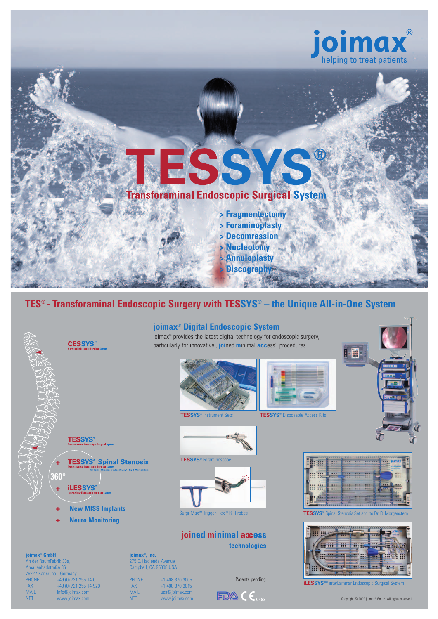



## **TES® - Transforaminal Endoscopic Surgery with TESSYS® – the Unique All-in-One System**



www.joimax.com

**joimax®, Inc.** 275 E. Hacienda Avenue Campbell, CA 95008 USA

PHONE +1 408 370 3005<br>FAX +1 408 370 3015 FAX +1 408 370 3015<br>
MAIL usa@joimax.com MAIL usa@joimax.com<br>NET www.joimax.com

**joimax® GmbH** An der RaumFabrik 33a, Amalienbadstraße 36 76227 Karlsruhe - Germany<br>PHONE +49 (0) 72 PHONE +49 (0) 721 255 14-0<br>FAX +49 (0) 721 255 14-9 FAX +49 (0) 721 255 14-920<br>
MAIL info@joimax.com MAIL info@joimax.com<br>NET www.joimax.com

## **joimax® Digital Endoscopic System**

joimax® provides the latest digital technology for endoscopic surgery, particularly for innovative **"joined minimal access**" procedures.









**TESSYS®** Foraminosco



joined minimal access

technologies

**SEAR E SH Excessive Community of School** jm, **III** III **M M M**  $\ddot{z}$ **III III** m  $+11.7$ 



Patents pending<br> **iLESSYS™** interLaminar Endoscopic Surgical System